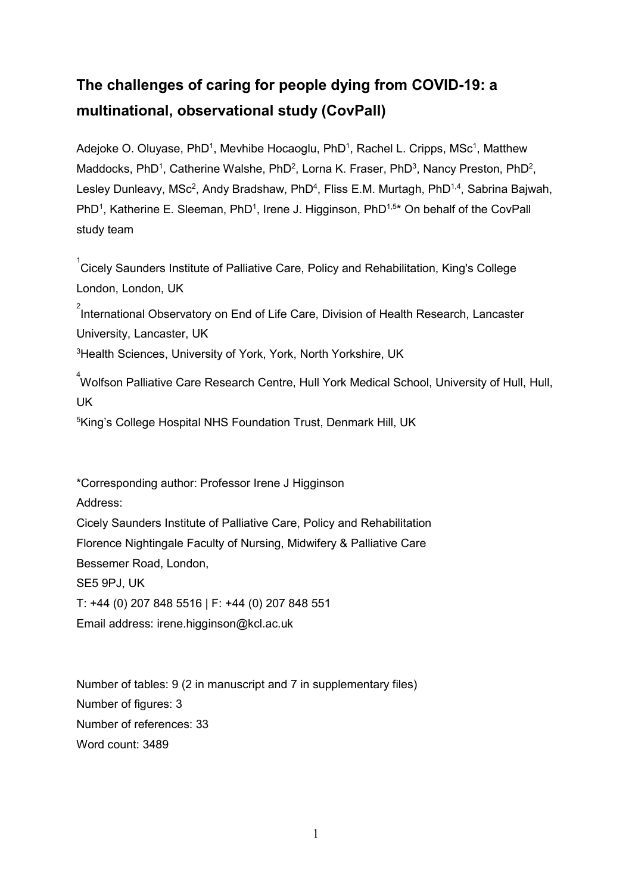# **The challenges of caring for people dying from COVID-19: a multinational, observational study (CovPall)**

Adejoke O. Oluyase, PhD<sup>1</sup>, Mevhibe Hocaoglu, PhD<sup>1</sup>, Rachel L. Cripps, MSc<sup>1</sup>, Matthew Maddocks, PhD<sup>1</sup>, Catherine Walshe, PhD<sup>2</sup>, Lorna K. Fraser, PhD<sup>3</sup>, Nancy Preston, PhD<sup>2</sup>, Lesley Dunleavy, MSc<sup>2</sup>, Andy Bradshaw, PhD<sup>4</sup>, Fliss E.M. Murtagh, PhD<sup>1,4</sup>, Sabrina Bajwah, PhD<sup>1</sup>, Katherine E. Sleeman, PhD<sup>1</sup>, Irene J. Higginson, PhD<sup>1,5\*</sup> On behalf of the CovPall study team

 ${\rm ^1}$ Cicely Saunders Institute of Palliative Care, Policy and Rehabilitation, King's College London, London, UK

 $^{\rm 2}$ International Observatory on End of Life Care, Division of Health Research, Lancaster University, Lancaster, UK

 ${}^{3}$ Health Sciences, University of York, York, North Yorkshire, UK

4 Wolfson Palliative Care Research Centre, Hull York Medical School, University of Hull, Hull, UK

5 King's College Hospital NHS Foundation Trust, Denmark Hill, UK

\*Corresponding author: Professor Irene J Higginson Address: Cicely Saunders Institute of Palliative Care, Policy and Rehabilitation Florence Nightingale Faculty of Nursing, Midwifery & Palliative Care Bessemer Road, London, SE5 9PJ, UK T: +44 (0) 207 848 5516 | F: +44 (0) 207 848 551 Email address: irene.higginson@kcl.ac.uk

Number of tables: 9 (2 in manuscript and 7 in supplementary files) Number of figures: 3 Number of references: 33 Word count: 3489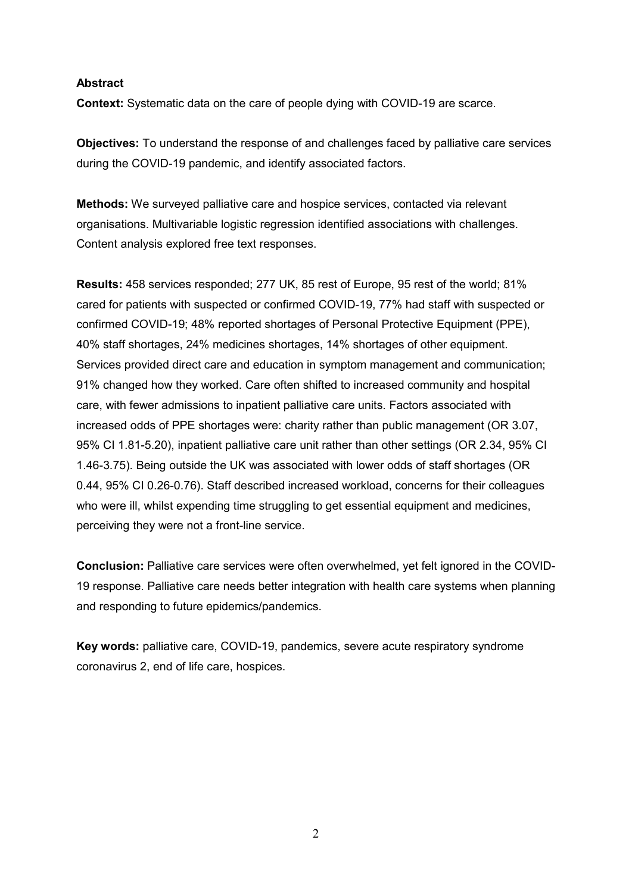# **Abstract**

**Context:** Systematic data on the care of people dying with COVID-19 are scarce.

**Objectives:** To understand the response of and challenges faced by palliative care services during the COVID-19 pandemic, and identify associated factors.

**Methods:** We surveyed palliative care and hospice services, contacted via relevant organisations. Multivariable logistic regression identified associations with challenges. Content analysis explored free text responses.

**Results:** 458 services responded; 277 UK, 85 rest of Europe, 95 rest of the world; 81% cared for patients with suspected or confirmed COVID-19, 77% had staff with suspected or confirmed COVID-19; 48% reported shortages of Personal Protective Equipment (PPE), 40% staff shortages, 24% medicines shortages, 14% shortages of other equipment. Services provided direct care and education in symptom management and communication; 91% changed how they worked. Care often shifted to increased community and hospital care, with fewer admissions to inpatient palliative care units. Factors associated with increased odds of PPE shortages were: charity rather than public management (OR 3.07, 95% CI 1.81-5.20), inpatient palliative care unit rather than other settings (OR 2.34, 95% CI 1.46-3.75). Being outside the UK was associated with lower odds of staff shortages (OR 0.44, 95% CI 0.26-0.76). Staff described increased workload, concerns for their colleagues who were ill, whilst expending time struggling to get essential equipment and medicines, perceiving they were not a front-line service.

**Conclusion:** Palliative care services were often overwhelmed, yet felt ignored in the COVID-19 response. Palliative care needs better integration with health care systems when planning and responding to future epidemics/pandemics.

**Key words:** palliative care, COVID-19, pandemics, severe acute respiratory syndrome coronavirus 2, end of life care, hospices.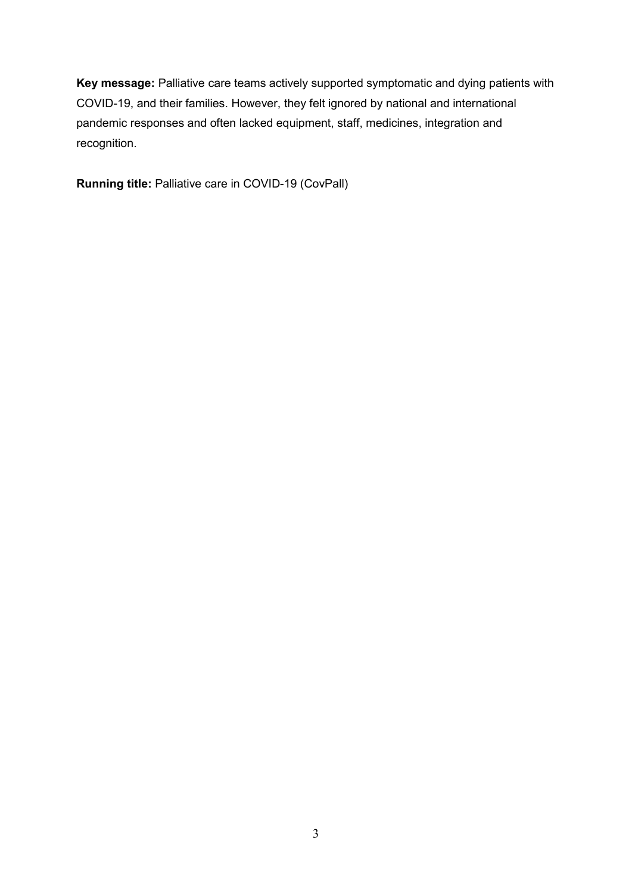**Key message:** Palliative care teams actively supported symptomatic and dying patients with COVID-19, and their families. However, they felt ignored by national and international pandemic responses and often lacked equipment, staff, medicines, integration and recognition.

**Running title:** Palliative care in COVID-19 (CovPall)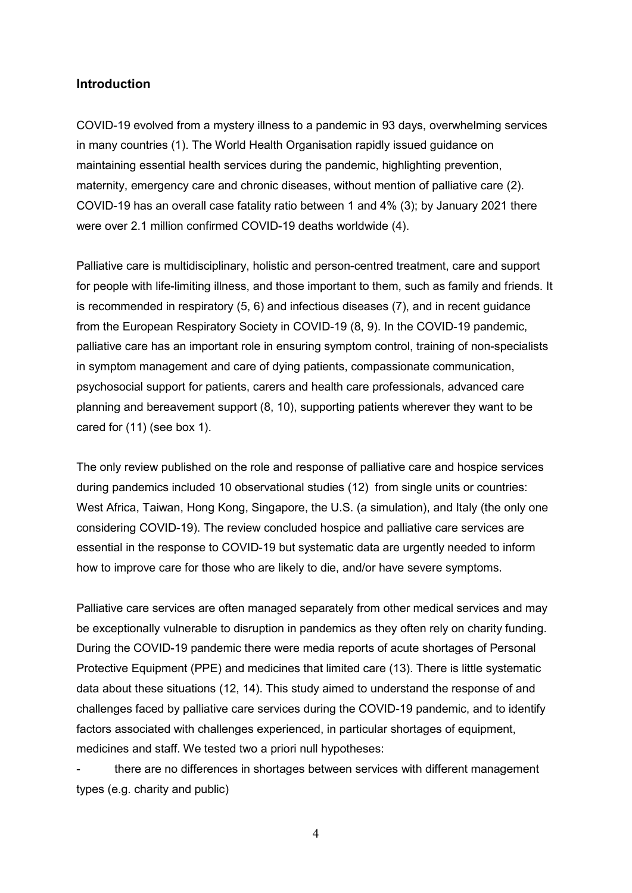# **Introduction**

COVID-19 evolved from a mystery illness to a pandemic in 93 days, overwhelming services in many countries (1). The World Health Organisation rapidly issued guidance on maintaining essential health services during the pandemic, highlighting prevention, maternity, emergency care and chronic diseases, without mention of palliative care (2). COVID-19 has an overall case fatality ratio between 1 and 4% (3); by January 2021 there were over 2.1 million confirmed COVID-19 deaths worldwide (4).

Palliative care is multidisciplinary, holistic and person-centred treatment, care and support for people with life-limiting illness, and those important to them, such as family and friends. It is recommended in respiratory (5, 6) and infectious diseases (7), and in recent guidance from the European Respiratory Society in COVID-19 (8, 9). In the COVID-19 pandemic, palliative care has an important role in ensuring symptom control, training of non-specialists in symptom management and care of dying patients, compassionate communication, psychosocial support for patients, carers and health care professionals, advanced care planning and bereavement support (8, 10), supporting patients wherever they want to be cared for (11) (see box 1).

The only review published on the role and response of palliative care and hospice services during pandemics included 10 observational studies (12) from single units or countries: West Africa, Taiwan, Hong Kong, Singapore, the U.S. (a simulation), and Italy (the only one considering COVID-19). The review concluded hospice and palliative care services are essential in the response to COVID-19 but systematic data are urgently needed to inform how to improve care for those who are likely to die, and/or have severe symptoms.

Palliative care services are often managed separately from other medical services and may be exceptionally vulnerable to disruption in pandemics as they often rely on charity funding. During the COVID-19 pandemic there were media reports of acute shortages of Personal Protective Equipment (PPE) and medicines that limited care (13). There is little systematic data about these situations (12, 14). This study aimed to understand the response of and challenges faced by palliative care services during the COVID-19 pandemic, and to identify factors associated with challenges experienced, in particular shortages of equipment, medicines and staff. We tested two a priori null hypotheses:

there are no differences in shortages between services with different management types (e.g. charity and public)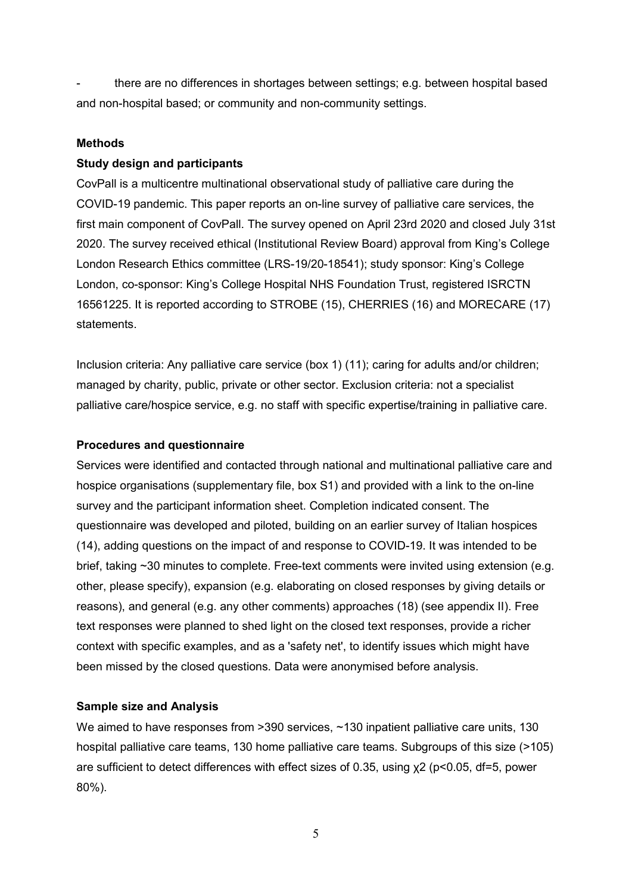- there are no differences in shortages between settings; e.g. between hospital based and non-hospital based; or community and non-community settings.

# **Methods**

# **Study design and participants**

CovPall is a multicentre multinational observational study of palliative care during the COVID-19 pandemic. This paper reports an on-line survey of palliative care services, the first main component of CovPall. The survey opened on April 23rd 2020 and closed July 31st 2020. The survey received ethical (Institutional Review Board) approval from King's College London Research Ethics committee (LRS-19/20-18541); study sponsor: King's College London, co-sponsor: King's College Hospital NHS Foundation Trust, registered ISRCTN 16561225. It is reported according to STROBE (15), CHERRIES (16) and MORECARE (17) statements.

Inclusion criteria: Any palliative care service (box 1) (11); caring for adults and/or children; managed by charity, public, private or other sector. Exclusion criteria: not a specialist palliative care/hospice service, e.g. no staff with specific expertise/training in palliative care.

# **Procedures and questionnaire**

Services were identified and contacted through national and multinational palliative care and hospice organisations (supplementary file, box S1) and provided with a link to the on-line survey and the participant information sheet. Completion indicated consent. The questionnaire was developed and piloted, building on an earlier survey of Italian hospices (14), adding questions on the impact of and response to COVID-19. It was intended to be brief, taking ~30 minutes to complete. Free-text comments were invited using extension (e.g. other, please specify), expansion (e.g. elaborating on closed responses by giving details or reasons), and general (e.g. any other comments) approaches (18) (see appendix II). Free text responses were planned to shed light on the closed text responses, provide a richer context with specific examples, and as a 'safety net', to identify issues which might have been missed by the closed questions. Data were anonymised before analysis.

# **Sample size and Analysis**

We aimed to have responses from >390 services, ~130 inpatient palliative care units, 130 hospital palliative care teams, 130 home palliative care teams. Subgroups of this size (>105) are sufficient to detect differences with effect sizes of 0.35, using χ2 (p<0.05, df=5, power 80%).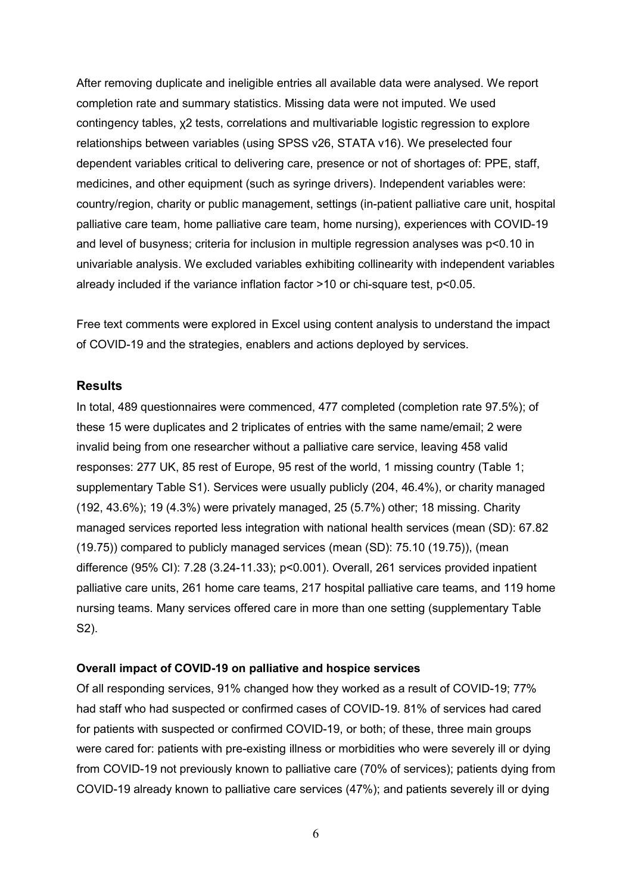After removing duplicate and ineligible entries all available data were analysed. We report completion rate and summary statistics. Missing data were not imputed. We used contingency tables, χ2 tests, correlations and multivariable logistic regression to explore relationships between variables (using SPSS v26, STATA v16). We preselected four dependent variables critical to delivering care, presence or not of shortages of: PPE, staff, medicines, and other equipment (such as syringe drivers). Independent variables were: country/region, charity or public management, settings (in-patient palliative care unit, hospital palliative care team, home palliative care team, home nursing), experiences with COVID-19 and level of busyness; criteria for inclusion in multiple regression analyses was p<0.10 in univariable analysis. We excluded variables exhibiting collinearity with independent variables already included if the variance inflation factor >10 or chi-square test, p<0.05.

Free text comments were explored in Excel using content analysis to understand the impact of COVID-19 and the strategies, enablers and actions deployed by services.

# **Results**

In total, 489 questionnaires were commenced, 477 completed (completion rate 97.5%); of these 15 were duplicates and 2 triplicates of entries with the same name/email; 2 were invalid being from one researcher without a palliative care service, leaving 458 valid responses: 277 UK, 85 rest of Europe, 95 rest of the world, 1 missing country (Table 1; supplementary Table S1). Services were usually publicly (204, 46.4%), or charity managed (192, 43.6%); 19 (4.3%) were privately managed, 25 (5.7%) other; 18 missing. Charity managed services reported less integration with national health services (mean (SD): 67.82 (19.75)) compared to publicly managed services (mean (SD): 75.10 (19.75)), (mean difference (95% CI): 7.28 (3.24-11.33); p<0.001). Overall, 261 services provided inpatient palliative care units, 261 home care teams, 217 hospital palliative care teams, and 119 home nursing teams. Many services offered care in more than one setting (supplementary Table S2).

## **Overall impact of COVID-19 on palliative and hospice services**

Of all responding services, 91% changed how they worked as a result of COVID-19; 77% had staff who had suspected or confirmed cases of COVID-19. 81% of services had cared for patients with suspected or confirmed COVID-19, or both; of these, three main groups were cared for: patients with pre-existing illness or morbidities who were severely ill or dying from COVID-19 not previously known to palliative care (70% of services); patients dying from COVID-19 already known to palliative care services (47%); and patients severely ill or dying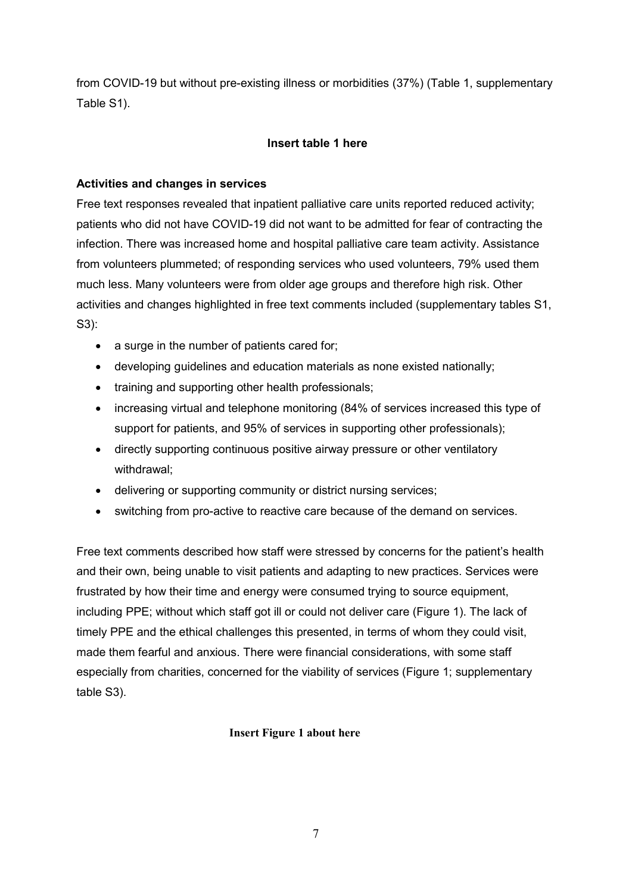from COVID-19 but without pre-existing illness or morbidities (37%) (Table 1, supplementary Table S1).

# **Insert table 1 here**

# **Activities and changes in services**

Free text responses revealed that inpatient palliative care units reported reduced activity; patients who did not have COVID-19 did not want to be admitted for fear of contracting the infection. There was increased home and hospital palliative care team activity. Assistance from volunteers plummeted; of responding services who used volunteers, 79% used them much less. Many volunteers were from older age groups and therefore high risk. Other activities and changes highlighted in free text comments included (supplementary tables S1, S3):

- a surge in the number of patients cared for;
- developing guidelines and education materials as none existed nationally;
- training and supporting other health professionals;
- increasing virtual and telephone monitoring (84% of services increased this type of support for patients, and 95% of services in supporting other professionals);
- directly supporting continuous positive airway pressure or other ventilatory withdrawal;
- delivering or supporting community or district nursing services;
- switching from pro-active to reactive care because of the demand on services.

Free text comments described how staff were stressed by concerns for the patient's health and their own, being unable to visit patients and adapting to new practices. Services were frustrated by how their time and energy were consumed trying to source equipment, including PPE; without which staff got ill or could not deliver care (Figure 1). The lack of timely PPE and the ethical challenges this presented, in terms of whom they could visit, made them fearful and anxious. There were financial considerations, with some staff especially from charities, concerned for the viability of services (Figure 1; supplementary table S3).

# **Insert Figure 1 about here**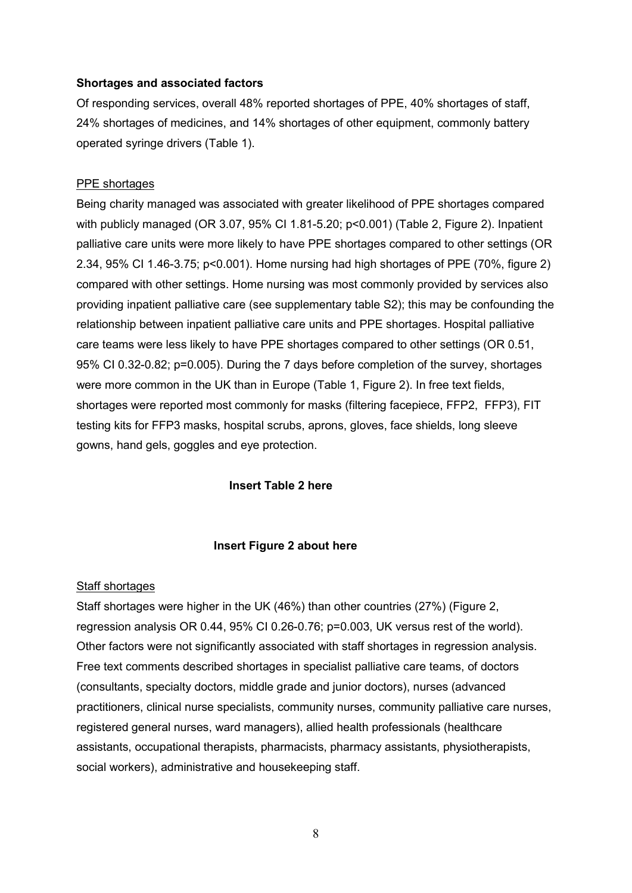### **Shortages and associated factors**

Of responding services, overall 48% reported shortages of PPE, 40% shortages of staff, 24% shortages of medicines, and 14% shortages of other equipment, commonly battery operated syringe drivers (Table 1).

## PPE shortages

Being charity managed was associated with greater likelihood of PPE shortages compared with publicly managed (OR 3.07, 95% CI 1.81-5.20; p<0.001) (Table 2, Figure 2). Inpatient palliative care units were more likely to have PPE shortages compared to other settings (OR 2.34, 95% CI 1.46-3.75; p<0.001). Home nursing had high shortages of PPE (70%, figure 2) compared with other settings. Home nursing was most commonly provided by services also providing inpatient palliative care (see supplementary table S2); this may be confounding the relationship between inpatient palliative care units and PPE shortages. Hospital palliative care teams were less likely to have PPE shortages compared to other settings (OR 0.51, 95% CI 0.32-0.82; p=0.005). During the 7 days before completion of the survey, shortages were more common in the UK than in Europe (Table 1, Figure 2). In free text fields, shortages were reported most commonly for masks (filtering facepiece, FFP2, FFP3), FIT testing kits for FFP3 masks, hospital scrubs, aprons, gloves, face shields, long sleeve gowns, hand gels, goggles and eye protection.

# **Insert Table 2 here**

#### **Insert Figure 2 about here**

### Staff shortages

Staff shortages were higher in the UK (46%) than other countries (27%) (Figure 2, regression analysis OR 0.44, 95% CI 0.26-0.76; p=0.003, UK versus rest of the world). Other factors were not significantly associated with staff shortages in regression analysis. Free text comments described shortages in specialist palliative care teams, of doctors (consultants, specialty doctors, middle grade and junior doctors), nurses (advanced practitioners, clinical nurse specialists, community nurses, community palliative care nurses, registered general nurses, ward managers), allied health professionals (healthcare assistants, occupational therapists, pharmacists, pharmacy assistants, physiotherapists, social workers), administrative and housekeeping staff.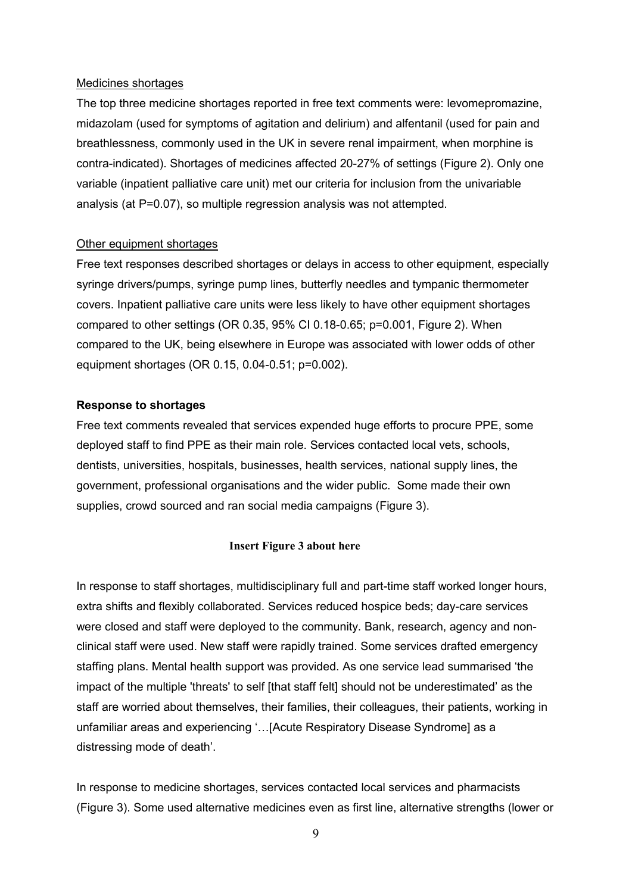#### Medicines shortages

The top three medicine shortages reported in free text comments were: levomepromazine, midazolam (used for symptoms of agitation and delirium) and alfentanil (used for pain and breathlessness, commonly used in the UK in severe renal impairment, when morphine is contra-indicated). Shortages of medicines affected 20-27% of settings (Figure 2). Only one variable (inpatient palliative care unit) met our criteria for inclusion from the univariable analysis (at P=0.07), so multiple regression analysis was not attempted.

#### Other equipment shortages

Free text responses described shortages or delays in access to other equipment, especially syringe drivers/pumps, syringe pump lines, butterfly needles and tympanic thermometer covers. Inpatient palliative care units were less likely to have other equipment shortages compared to other settings (OR 0.35, 95% CI 0.18-0.65; p=0.001, Figure 2). When compared to the UK, being elsewhere in Europe was associated with lower odds of other equipment shortages (OR 0.15, 0.04-0.51; p=0.002).

#### **Response to shortages**

Free text comments revealed that services expended huge efforts to procure PPE, some deployed staff to find PPE as their main role. Services contacted local vets, schools, dentists, universities, hospitals, businesses, health services, national supply lines, the government, professional organisations and the wider public. Some made their own supplies, crowd sourced and ran social media campaigns (Figure 3).

#### **Insert Figure 3 about here**

In response to staff shortages, multidisciplinary full and part-time staff worked longer hours, extra shifts and flexibly collaborated. Services reduced hospice beds; day-care services were closed and staff were deployed to the community. Bank, research, agency and nonclinical staff were used. New staff were rapidly trained. Some services drafted emergency staffing plans. Mental health support was provided. As one service lead summarised 'the impact of the multiple 'threats' to self [that staff felt] should not be underestimated' as the staff are worried about themselves, their families, their colleagues, their patients, working in unfamiliar areas and experiencing '…[Acute Respiratory Disease Syndrome] as a distressing mode of death'.

In response to medicine shortages, services contacted local services and pharmacists (Figure 3). Some used alternative medicines even as first line, alternative strengths (lower or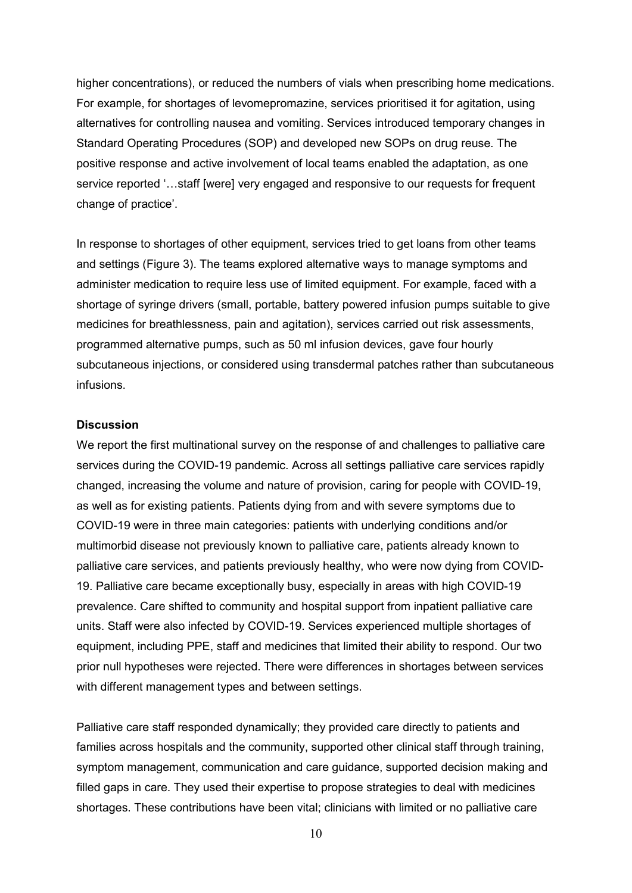higher concentrations), or reduced the numbers of vials when prescribing home medications. For example, for shortages of levomepromazine, services prioritised it for agitation, using alternatives for controlling nausea and vomiting. Services introduced temporary changes in Standard Operating Procedures (SOP) and developed new SOPs on drug reuse. The positive response and active involvement of local teams enabled the adaptation, as one service reported '…staff [were] very engaged and responsive to our requests for frequent change of practice'.

In response to shortages of other equipment, services tried to get loans from other teams and settings (Figure 3). The teams explored alternative ways to manage symptoms and administer medication to require less use of limited equipment. For example, faced with a shortage of syringe drivers (small, portable, battery powered infusion pumps suitable to give medicines for breathlessness, pain and agitation), services carried out risk assessments, programmed alternative pumps, such as 50 ml infusion devices, gave four hourly subcutaneous injections, or considered using transdermal patches rather than subcutaneous infusions.

## **Discussion**

We report the first multinational survey on the response of and challenges to palliative care services during the COVID-19 pandemic. Across all settings palliative care services rapidly changed, increasing the volume and nature of provision, caring for people with COVID-19, as well as for existing patients. Patients dying from and with severe symptoms due to COVID-19 were in three main categories: patients with underlying conditions and/or multimorbid disease not previously known to palliative care, patients already known to palliative care services, and patients previously healthy, who were now dying from COVID-19. Palliative care became exceptionally busy, especially in areas with high COVID-19 prevalence. Care shifted to community and hospital support from inpatient palliative care units. Staff were also infected by COVID-19. Services experienced multiple shortages of equipment, including PPE, staff and medicines that limited their ability to respond. Our two prior null hypotheses were rejected. There were differences in shortages between services with different management types and between settings.

Palliative care staff responded dynamically; they provided care directly to patients and families across hospitals and the community, supported other clinical staff through training, symptom management, communication and care guidance, supported decision making and filled gaps in care. They used their expertise to propose strategies to deal with medicines shortages. These contributions have been vital; clinicians with limited or no palliative care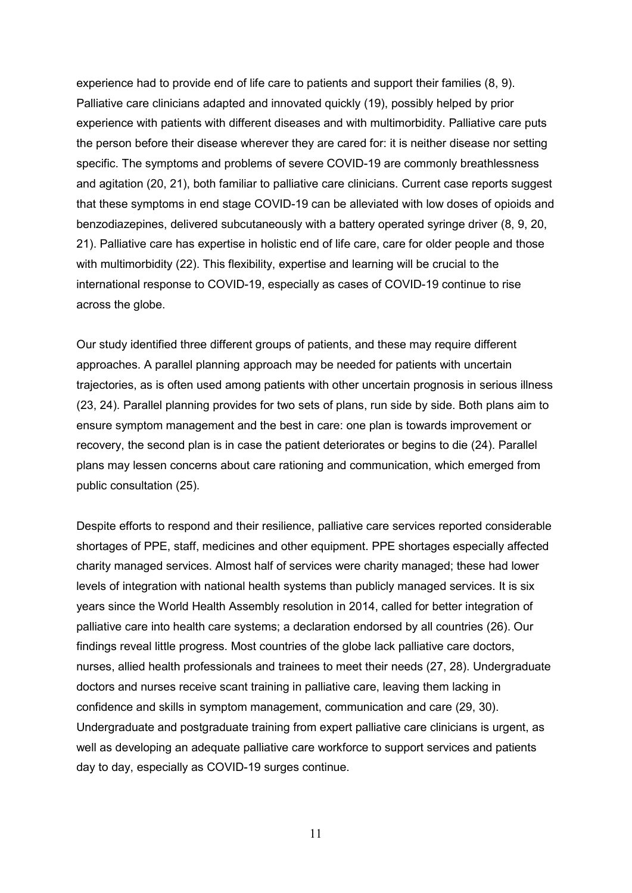experience had to provide end of life care to patients and support their families (8, 9). Palliative care clinicians adapted and innovated quickly (19), possibly helped by prior experience with patients with different diseases and with multimorbidity. Palliative care puts the person before their disease wherever they are cared for: it is neither disease nor setting specific. The symptoms and problems of severe COVID-19 are commonly breathlessness and agitation (20, 21), both familiar to palliative care clinicians. Current case reports suggest that these symptoms in end stage COVID-19 can be alleviated with low doses of opioids and benzodiazepines, delivered subcutaneously with a battery operated syringe driver (8, 9, 20, 21). Palliative care has expertise in holistic end of life care, care for older people and those with multimorbidity (22). This flexibility, expertise and learning will be crucial to the international response to COVID-19, especially as cases of COVID-19 continue to rise across the globe.

Our study identified three different groups of patients, and these may require different approaches. A parallel planning approach may be needed for patients with uncertain trajectories, as is often used among patients with other uncertain prognosis in serious illness (23, 24). Parallel planning provides for two sets of plans, run side by side. Both plans aim to ensure symptom management and the best in care: one plan is towards improvement or recovery, the second plan is in case the patient deteriorates or begins to die (24). Parallel plans may lessen concerns about care rationing and communication, which emerged from public consultation (25).

Despite efforts to respond and their resilience, palliative care services reported considerable shortages of PPE, staff, medicines and other equipment. PPE shortages especially affected charity managed services. Almost half of services were charity managed; these had lower levels of integration with national health systems than publicly managed services. It is six years since the World Health Assembly resolution in 2014, called for better integration of palliative care into health care systems; a declaration endorsed by all countries (26). Our findings reveal little progress. Most countries of the globe lack palliative care doctors, nurses, allied health professionals and trainees to meet their needs (27, 28). Undergraduate doctors and nurses receive scant training in palliative care, leaving them lacking in confidence and skills in symptom management, communication and care (29, 30). Undergraduate and postgraduate training from expert palliative care clinicians is urgent, as well as developing an adequate palliative care workforce to support services and patients day to day, especially as COVID-19 surges continue.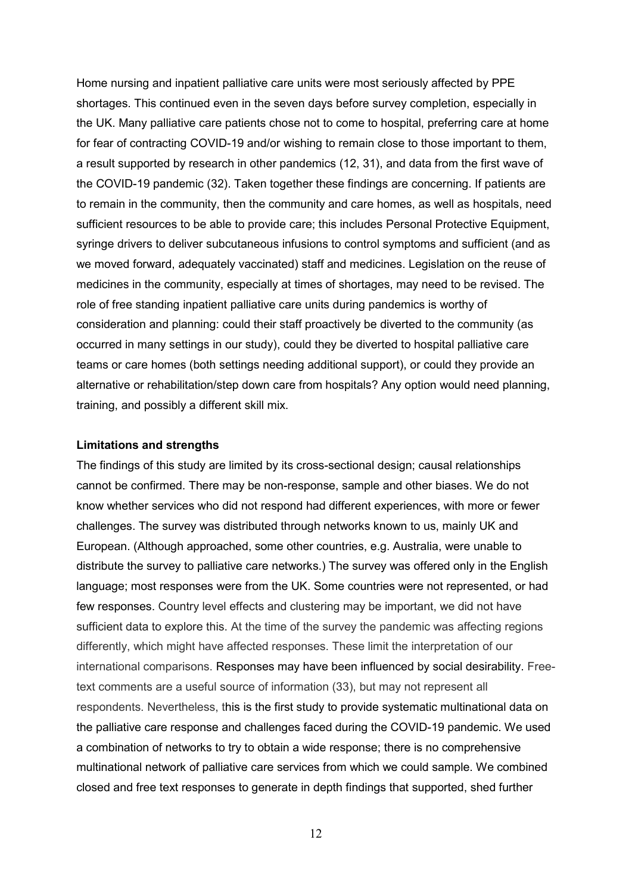Home nursing and inpatient palliative care units were most seriously affected by PPE shortages. This continued even in the seven days before survey completion, especially in the UK. Many palliative care patients chose not to come to hospital, preferring care at home for fear of contracting COVID-19 and/or wishing to remain close to those important to them, a result supported by research in other pandemics (12, 31), and data from the first wave of the COVID-19 pandemic (32). Taken together these findings are concerning. If patients are to remain in the community, then the community and care homes, as well as hospitals, need sufficient resources to be able to provide care; this includes Personal Protective Equipment, syringe drivers to deliver subcutaneous infusions to control symptoms and sufficient (and as we moved forward, adequately vaccinated) staff and medicines. Legislation on the reuse of medicines in the community, especially at times of shortages, may need to be revised. The role of free standing inpatient palliative care units during pandemics is worthy of consideration and planning: could their staff proactively be diverted to the community (as occurred in many settings in our study), could they be diverted to hospital palliative care teams or care homes (both settings needing additional support), or could they provide an alternative or rehabilitation/step down care from hospitals? Any option would need planning, training, and possibly a different skill mix.

#### **Limitations and strengths**

The findings of this study are limited by its cross-sectional design; causal relationships cannot be confirmed. There may be non-response, sample and other biases. We do not know whether services who did not respond had different experiences, with more or fewer challenges. The survey was distributed through networks known to us, mainly UK and European. (Although approached, some other countries, e.g. Australia, were unable to distribute the survey to palliative care networks.) The survey was offered only in the English language; most responses were from the UK. Some countries were not represented, or had few responses. Country level effects and clustering may be important, we did not have sufficient data to explore this. At the time of the survey the pandemic was affecting regions differently, which might have affected responses. These limit the interpretation of our international comparisons. Responses may have been influenced by social desirability. Freetext comments are a useful source of information (33), but may not represent all respondents. Nevertheless, this is the first study to provide systematic multinational data on the palliative care response and challenges faced during the COVID-19 pandemic. We used a combination of networks to try to obtain a wide response; there is no comprehensive multinational network of palliative care services from which we could sample. We combined closed and free text responses to generate in depth findings that supported, shed further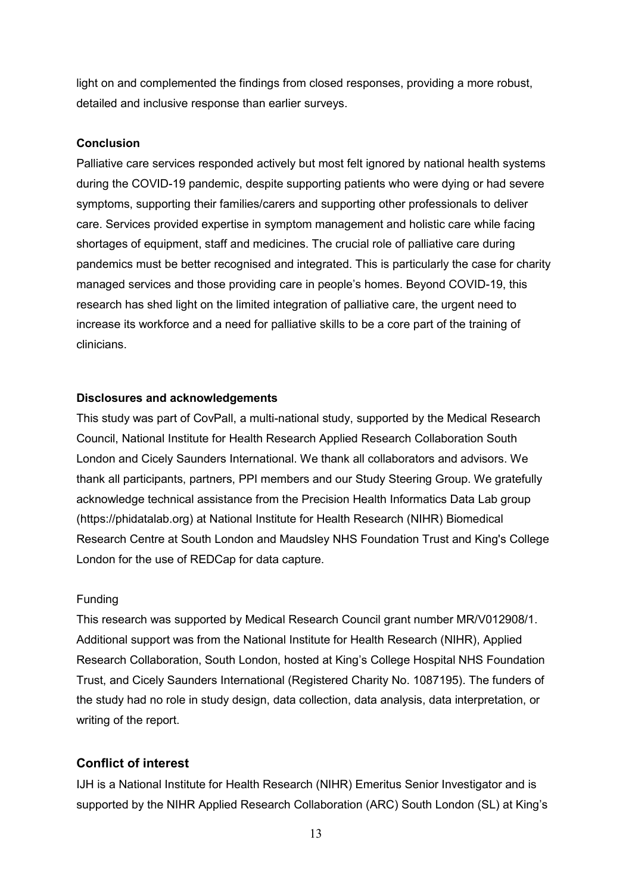light on and complemented the findings from closed responses, providing a more robust, detailed and inclusive response than earlier surveys.

# **Conclusion**

Palliative care services responded actively but most felt ignored by national health systems during the COVID-19 pandemic, despite supporting patients who were dying or had severe symptoms, supporting their families/carers and supporting other professionals to deliver care. Services provided expertise in symptom management and holistic care while facing shortages of equipment, staff and medicines. The crucial role of palliative care during pandemics must be better recognised and integrated. This is particularly the case for charity managed services and those providing care in people's homes. Beyond COVID-19, this research has shed light on the limited integration of palliative care, the urgent need to increase its workforce and a need for palliative skills to be a core part of the training of clinicians.

# **Disclosures and acknowledgements**

This study was part of CovPall, a multi-national study, supported by the Medical Research Council, National Institute for Health Research Applied Research Collaboration South London and Cicely Saunders International. We thank all collaborators and advisors. We thank all participants, partners, PPI members and our Study Steering Group. We gratefully acknowledge technical assistance from the Precision Health Informatics Data Lab group (https://phidatalab.org) at National Institute for Health Research (NIHR) Biomedical Research Centre at South London and Maudsley NHS Foundation Trust and King's College London for the use of REDCap for data capture.

# Funding

This research was supported by Medical Research Council grant number MR/V012908/1. Additional support was from the National Institute for Health Research (NIHR), Applied Research Collaboration, South London, hosted at King's College Hospital NHS Foundation Trust, and Cicely Saunders International (Registered Charity No. 1087195). The funders of the study had no role in study design, data collection, data analysis, data interpretation, or writing of the report.

# **Conflict of interest**

IJH is a National Institute for Health Research (NIHR) Emeritus Senior Investigator and is supported by the NIHR Applied Research Collaboration (ARC) South London (SL) at King's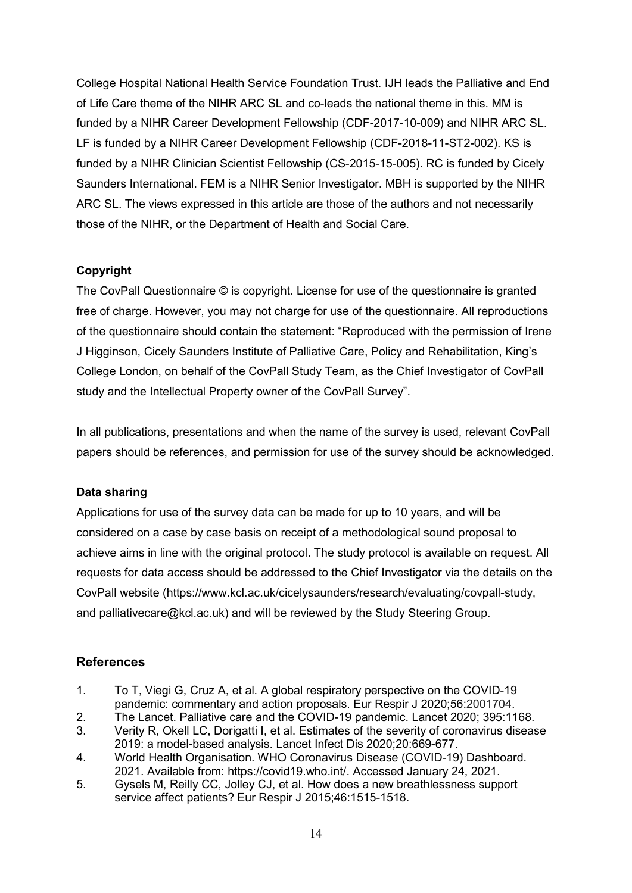College Hospital National Health Service Foundation Trust. IJH leads the Palliative and End of Life Care theme of the NIHR ARC SL and co-leads the national theme in this. MM is funded by a NIHR Career Development Fellowship (CDF-2017-10-009) and NIHR ARC SL. LF is funded by a NIHR Career Development Fellowship (CDF-2018-11-ST2-002). KS is funded by a NIHR Clinician Scientist Fellowship (CS-2015-15-005). RC is funded by Cicely Saunders International. FEM is a NIHR Senior Investigator. MBH is supported by the NIHR ARC SL. The views expressed in this article are those of the authors and not necessarily those of the NIHR, or the Department of Health and Social Care.

# **Copyright**

The CovPall Questionnaire © is copyright. License for use of the questionnaire is granted free of charge. However, you may not charge for use of the questionnaire. All reproductions of the questionnaire should contain the statement: "Reproduced with the permission of Irene J Higginson, Cicely Saunders Institute of Palliative Care, Policy and Rehabilitation, King's College London, on behalf of the CovPall Study Team, as the Chief Investigator of CovPall study and the Intellectual Property owner of the CovPall Survey".

In all publications, presentations and when the name of the survey is used, relevant CovPall papers should be references, and permission for use of the survey should be acknowledged.

# **Data sharing**

Applications for use of the survey data can be made for up to 10 years, and will be considered on a case by case basis on receipt of a methodological sound proposal to achieve aims in line with the original protocol. The study protocol is available on request. All requests for data access should be addressed to the Chief Investigator via the details on the CovPall website (https://www.kcl.ac.uk/cicelysaunders/research/evaluating/covpall-study, and palliativecare@kcl.ac.uk) and will be reviewed by the Study Steering Group.

# **References**

- 1. To T, Viegi G, Cruz A, et al. A global respiratory perspective on the COVID-19 pandemic: commentary and action proposals. Eur Respir J 2020;56:2001704.
- 2. The Lancet. Palliative care and the COVID-19 pandemic. Lancet 2020; 395:1168.
- 3. Verity R, Okell LC, Dorigatti I, et al. Estimates of the severity of coronavirus disease 2019: a model-based analysis. Lancet Infect Dis 2020;20:669-677.
- 4. World Health Organisation. WHO Coronavirus Disease (COVID-19) Dashboard. 2021. Available from: https://covid19.who.int/. Accessed January 24, 2021.
- 5. Gysels M, Reilly CC, Jolley CJ, et al. How does a new breathlessness support service affect patients? Eur Respir J 2015;46:1515-1518.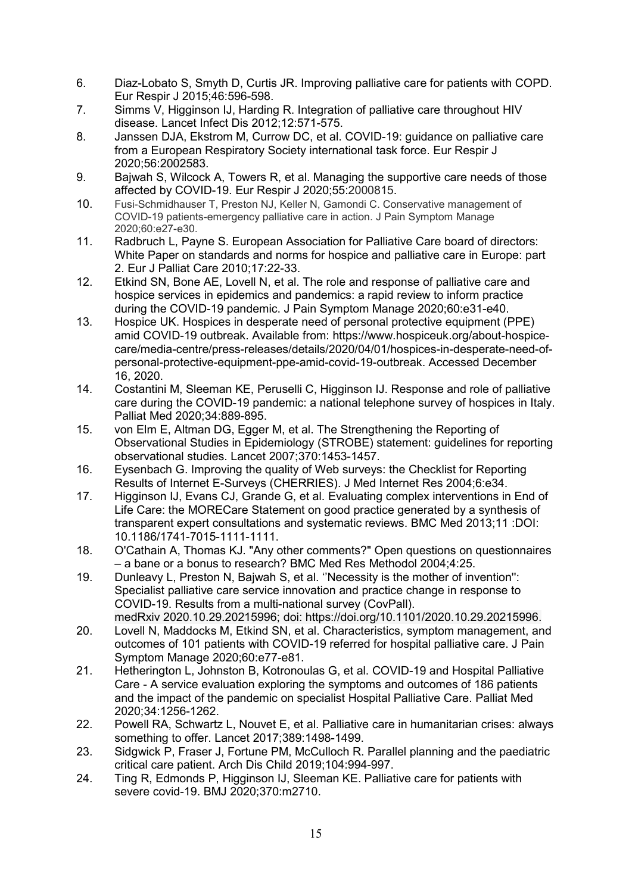- 6. Diaz-Lobato S, Smyth D, Curtis JR. Improving palliative care for patients with COPD. Eur Respir J 2015;46:596-598.
- 7. Simms V, Higginson IJ, Harding R. Integration of palliative care throughout HIV disease. Lancet Infect Dis 2012;12:571-575.
- 8. Janssen DJA, Ekstrom M, Currow DC, et al. COVID-19: guidance on palliative care from a European Respiratory Society international task force. Eur Respir J 2020;56:2002583.
- 9. Bajwah S, Wilcock A, Towers R, et al. Managing the supportive care needs of those affected by COVID-19. Eur Respir J 2020;55:2000815.
- 10. Fusi-Schmidhauser T, Preston NJ, Keller N, Gamondi C. Conservative management of COVID-19 patients-emergency palliative care in action. J Pain Symptom Manage 2020;60:e27-e30.
- 11. Radbruch L, Payne S. European Association for Palliative Care board of directors: White Paper on standards and norms for hospice and palliative care in Europe: part 2. Eur J Palliat Care 2010;17:22-33.
- 12. Etkind SN, Bone AE, Lovell N, et al. The role and response of palliative care and hospice services in epidemics and pandemics: a rapid review to inform practice during the COVID-19 pandemic. J Pain Symptom Manage 2020;60:e31-e40.
- 13. Hospice UK. Hospices in desperate need of personal protective equipment (PPE) amid COVID-19 outbreak. Available from: https://www.hospiceuk.org/about-hospicecare/media-centre/press-releases/details/2020/04/01/hospices-in-desperate-need-ofpersonal-protective-equipment-ppe-amid-covid-19-outbreak. Accessed December 16, 2020.
- 14. Costantini M, Sleeman KE, Peruselli C, Higginson IJ. Response and role of palliative care during the COVID-19 pandemic: a national telephone survey of hospices in Italy. Palliat Med 2020;34:889-895.
- 15. von Elm E, Altman DG, Egger M, et al. The Strengthening the Reporting of Observational Studies in Epidemiology (STROBE) statement: guidelines for reporting observational studies. Lancet 2007;370:1453-1457.
- 16. Eysenbach G. Improving the quality of Web surveys: the Checklist for Reporting Results of Internet E-Surveys (CHERRIES). J Med Internet Res 2004;6:e34.
- 17. Higginson IJ, Evans CJ, Grande G, et al. Evaluating complex interventions in End of Life Care: the MORECare Statement on good practice generated by a synthesis of transparent expert consultations and systematic reviews. BMC Med 2013;11 :DOI: 10.1186/1741-7015-1111-1111.
- 18. O'Cathain A, Thomas KJ. "Any other comments?" Open questions on questionnaires – a bane or a bonus to research? BMC Med Res Methodol 2004;4:25.
- 19. Dunleavy L, Preston N, Bajwah S, et al. ''Necessity is the mother of invention'': Specialist palliative care service innovation and practice change in response to COVID-19. Results from a multi-national survey (CovPall). medRxiv 2020.10.29.20215996; doi: https://doi.org/10.1101/2020.10.29.20215996.
- 20. Lovell N, Maddocks M, Etkind SN, et al. Characteristics, symptom management, and outcomes of 101 patients with COVID-19 referred for hospital palliative care. J Pain Symptom Manage 2020;60:e77-e81.
- 21. Hetherington L, Johnston B, Kotronoulas G, et al. COVID-19 and Hospital Palliative Care - A service evaluation exploring the symptoms and outcomes of 186 patients and the impact of the pandemic on specialist Hospital Palliative Care. Palliat Med 2020;34:1256-1262.
- 22. Powell RA, Schwartz L, Nouvet E, et al. Palliative care in humanitarian crises: always something to offer. Lancet 2017;389:1498-1499.
- 23. Sidgwick P, Fraser J, Fortune PM, McCulloch R. Parallel planning and the paediatric critical care patient. Arch Dis Child 2019;104:994-997.
- 24. Ting R, Edmonds P, Higginson IJ, Sleeman KE. Palliative care for patients with severe covid-19. BMJ 2020;370:m2710.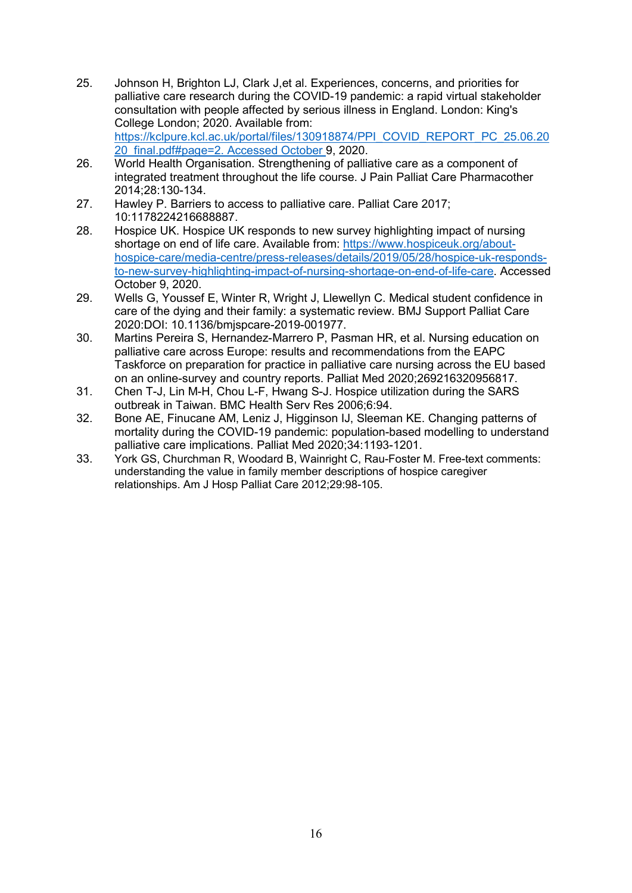- 25. Johnson H, Brighton LJ, Clark J,et al. Experiences, concerns, and priorities for palliative care research during the COVID-19 pandemic: a rapid virtual stakeholder consultation with people affected by serious illness in England. London: King's College London; 2020. Available from: [https://kclpure.kcl.ac.uk/portal/files/130918874/PPI\\_COVID\\_REPORT\\_PC\\_25.06.20](https://kclpure.kcl.ac.uk/portal/files/130918874/PPI_COVID_REPORT_PC_25.06.2020_final.pdf#page=2) [20\\_final.pdf#page=2.](https://kclpure.kcl.ac.uk/portal/files/130918874/PPI_COVID_REPORT_PC_25.06.2020_final.pdf#page=2) Accessed October 9, 2020.
- 26. World Health Organisation. Strengthening of palliative care as a component of integrated treatment throughout the life course. J Pain Palliat Care Pharmacother 2014;28:130-134.
- 27. Hawley P. Barriers to access to palliative care. Palliat Care 2017; 10:1178224216688887.
- 28. Hospice UK. Hospice UK responds to new survey highlighting impact of nursing shortage on end of life care. Available from: [https://www.hospiceuk.org/about](https://www.hospiceuk.org/about-hospice-care/media-centre/press-releases/details/2019/05/28/hospice-uk-responds-to-new-survey-highlighting-impact-of-nursing-shortage-on-end-of-life-care)[hospice-care/media-centre/press-releases/details/2019/05/28/hospice-uk-responds](https://www.hospiceuk.org/about-hospice-care/media-centre/press-releases/details/2019/05/28/hospice-uk-responds-to-new-survey-highlighting-impact-of-nursing-shortage-on-end-of-life-care)[to-new-survey-highlighting-impact-of-nursing-shortage-on-end-of-life-care.](https://www.hospiceuk.org/about-hospice-care/media-centre/press-releases/details/2019/05/28/hospice-uk-responds-to-new-survey-highlighting-impact-of-nursing-shortage-on-end-of-life-care) Accessed October 9, 2020.
- 29. Wells G, Youssef E, Winter R, Wright J, Llewellyn C. Medical student confidence in care of the dying and their family: a systematic review. BMJ Support Palliat Care 2020:DOI: 10.1136/bmjspcare-2019-001977.
- 30. Martins Pereira S, Hernandez-Marrero P, Pasman HR, et al. Nursing education on palliative care across Europe: results and recommendations from the EAPC Taskforce on preparation for practice in palliative care nursing across the EU based on an online-survey and country reports. Palliat Med 2020;269216320956817.
- 31. Chen T-J, Lin M-H, Chou L-F, Hwang S-J. Hospice utilization during the SARS outbreak in Taiwan. BMC Health Serv Res 2006;6:94.
- 32. Bone AE, Finucane AM, Leniz J, Higginson IJ, Sleeman KE. Changing patterns of mortality during the COVID-19 pandemic: population-based modelling to understand palliative care implications. Palliat Med 2020;34:1193-1201.
- 33. York GS, Churchman R, Woodard B, Wainright C, Rau-Foster M. Free-text comments: understanding the value in family member descriptions of hospice caregiver relationships. Am J Hosp Palliat Care 2012;29:98-105.